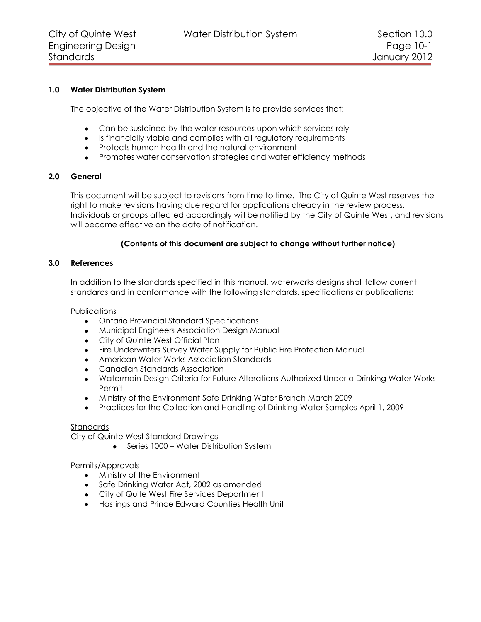## **1.0 Water Distribution System**

The objective of the Water Distribution System is to provide services that:

- Can be sustained by the water resources upon which services rely
- Is financially viable and complies with all regulatory requirements
- Protects human health and the natural environment
- Promotes water conservation strategies and water efficiency methods

# **2.0 General**

This document will be subject to revisions from time to time. The City of Quinte West reserves the right to make revisions having due regard for applications already in the review process. Individuals or groups affected accordingly will be notified by the City of Quinte West, and revisions will become effective on the date of notification.

# **(Contents of this document are subject to change without further notice)**

# **3.0 References**

In addition to the standards specified in this manual, waterworks designs shall follow current standards and in conformance with the following standards, specifications or publications:

**Publications** 

- Ontario Provincial Standard Specifications
- Municipal Engineers Association Design Manual
- City of Quinte West Official Plan
- Fire Underwriters Survey Water Supply for Public Fire Protection Manual
- American Water Works Association Standards
- Canadian Standards Association
- Watermain Design Criteria for Future Alterations Authorized Under a Drinking Water Works Permit –
- Ministry of the Environment Safe Drinking Water Branch March 2009  $\bullet$
- Practices for the Collection and Handling of Drinking Water Samples April 1, 2009

## **Standards**

City of Quinte West Standard Drawings

• Series 1000 – Water Distribution System

## Permits/Approvals

- Ministry of the Environment
- Safe Drinking Water Act, 2002 as amended
- City of Quite West Fire Services Department
- Hastings and Prince Edward Counties Health Unit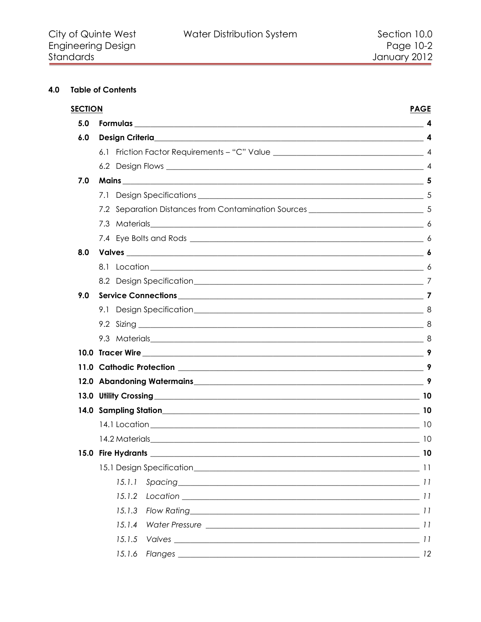# 4.0 Table of Contents

| <b>SECTION</b>     | <b>PAGE</b>                                                                                                                             |
|--------------------|-----------------------------------------------------------------------------------------------------------------------------------------|
|                    |                                                                                                                                         |
|                    |                                                                                                                                         |
|                    |                                                                                                                                         |
|                    |                                                                                                                                         |
|                    |                                                                                                                                         |
| 7.1                |                                                                                                                                         |
|                    |                                                                                                                                         |
|                    |                                                                                                                                         |
|                    |                                                                                                                                         |
|                    |                                                                                                                                         |
|                    |                                                                                                                                         |
|                    |                                                                                                                                         |
|                    |                                                                                                                                         |
|                    |                                                                                                                                         |
|                    |                                                                                                                                         |
|                    |                                                                                                                                         |
|                    |                                                                                                                                         |
|                    | 9                                                                                                                                       |
|                    |                                                                                                                                         |
|                    |                                                                                                                                         |
|                    |                                                                                                                                         |
|                    |                                                                                                                                         |
|                    |                                                                                                                                         |
| 15.0 Fire Hydrants | 10                                                                                                                                      |
|                    |                                                                                                                                         |
| 15.1.1             |                                                                                                                                         |
| 15.1.2             |                                                                                                                                         |
| 15.1.3             |                                                                                                                                         |
| 15.1.4             |                                                                                                                                         |
| 15.1.5             |                                                                                                                                         |
| 15.1.6             |                                                                                                                                         |
|                    | 7.2 Separation Distances from Contamination Sources _____________________________ 5<br>7.3 Materials 6<br>9.3 Materials 8<br>Spacing 11 |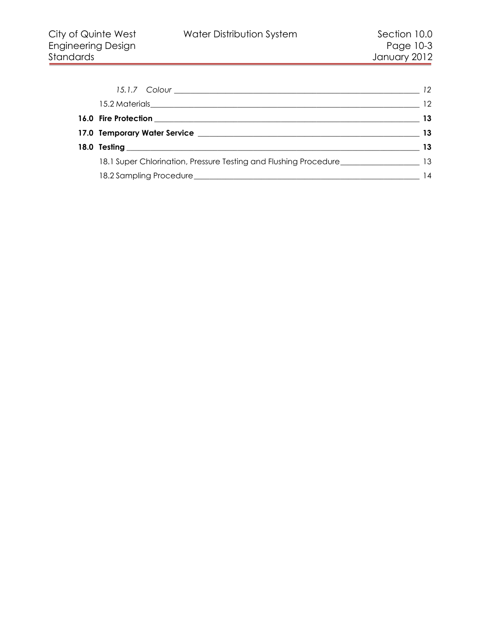|                                                                                           | -12 |
|-------------------------------------------------------------------------------------------|-----|
|                                                                                           | 12  |
|                                                                                           | 13  |
|                                                                                           | 13  |
|                                                                                           | 13  |
| 18.1 Super Chlorination, Pressure Testing and Flushing Procedure_______________________13 |     |
|                                                                                           | 14  |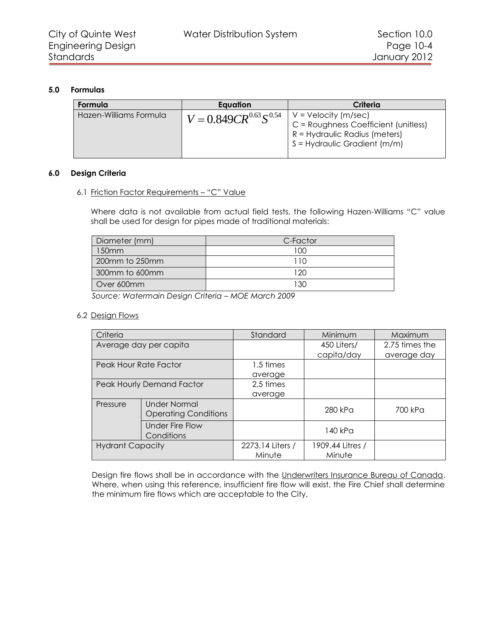# **5.0 Formulas**

<span id="page-3-0"></span>

| Formula                | Eauation                     | Criteria                                                                                                                            |
|------------------------|------------------------------|-------------------------------------------------------------------------------------------------------------------------------------|
| Hazen-Williams Formula | $V = 0.849CR^{0.63}S^{0.54}$ | $V = Velocity (m/sec)$<br>C = Roughness Coefficient (unitless)<br>$R = Hydraulic Radius (meters)$<br>I S = Hydraulic Gradient (m/m) |

# <span id="page-3-1"></span>**6.0 Design Criteria**

# <span id="page-3-2"></span>6.1 Friction Factor Requirements – "C" Value

Where data is not available from actual field tests, the following Hazen-Williams "C" value shall be used for design for pipes made of traditional materials:

| Diameter (mm)  | C-Factor |
|----------------|----------|
| 150mm          | 100      |
| 200mm to 250mm |          |
| 300mm to 600mm | 120      |
| Over 600mm     | 130      |
|                |          |

*Source: Watermain Design Criteria – MOE March 2009*

## <span id="page-3-3"></span>6.2 Design Flows

| Criteria                |                                                    | Standard                   | Minimum                    | Maximum        |
|-------------------------|----------------------------------------------------|----------------------------|----------------------------|----------------|
|                         | Average day per capita                             |                            | 450 Liters/                | 2.75 times the |
|                         |                                                    |                            | capita/day                 | average day    |
| Peak Hour Rate Factor   |                                                    | 1.5 times                  |                            |                |
|                         |                                                    | average                    |                            |                |
|                         | Peak Hourly Demand Factor                          | 2.5 times                  |                            |                |
|                         |                                                    | average                    |                            |                |
| Pressure                | <b>Under Normal</b><br><b>Operating Conditions</b> |                            | 280 kPa                    | 700 kPa        |
|                         | <b>Under Fire Flow</b><br>Conditions               |                            | 140 kPa                    |                |
| <b>Hydrant Capacity</b> |                                                    | 2273.14 Liters /<br>Minute | 1909.44 Litres /<br>Minute |                |

Design fire flows shall be in accordance with the Underwriters Insurance Bureau of Canada. Where, when using this reference, insufficient fire flow will exist, the Fire Chief shall determine the minimum fire flows which are acceptable to the City.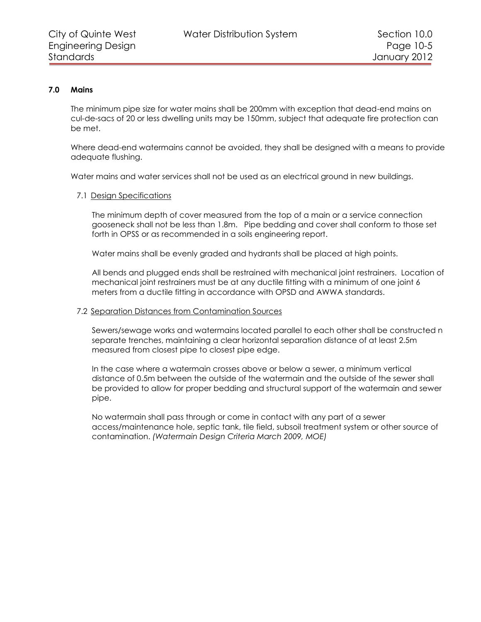## **7.0 Mains**

<span id="page-4-0"></span>The minimum pipe size for water mains shall be 200mm with exception that dead-end mains on cul-de-sacs of 20 or less dwelling units may be 150mm, subject that adequate fire protection can be met.

Where dead-end watermains cannot be avoided, they shall be designed with a means to provide adequate flushing.

Water mains and water services shall not be used as an electrical ground in new buildings.

#### <span id="page-4-1"></span>7.1 Design Specifications

The minimum depth of cover measured from the top of a main or a service connection gooseneck shall not be less than 1.8m. Pipe bedding and cover shall conform to those set forth in OPSS or as recommended in a soils engineering report.

Water mains shall be evenly graded and hydrants shall be placed at high points.

All bends and plugged ends shall be restrained with mechanical joint restrainers. Location of mechanical joint restrainers must be at any ductile fitting with a minimum of one joint 6 meters from a ductile fitting in accordance with OPSD and AWWA standards.

#### <span id="page-4-2"></span>7.2 Separation Distances from Contamination Sources

Sewers/sewage works and watermains located parallel to each other shall be constructed n separate trenches, maintaining a clear horizontal separation distance of at least 2.5m measured from closest pipe to closest pipe edge.

In the case where a watermain crosses above or below a sewer, a minimum vertical distance of 0.5m between the outside of the watermain and the outside of the sewer shall be provided to allow for proper bedding and structural support of the watermain and sewer pipe.

No watermain shall pass through or come in contact with any part of a sewer access/maintenance hole, septic tank, tile field, subsoil treatment system or other source of contamination. *(Watermain Design Criteria March 2009, MOE)*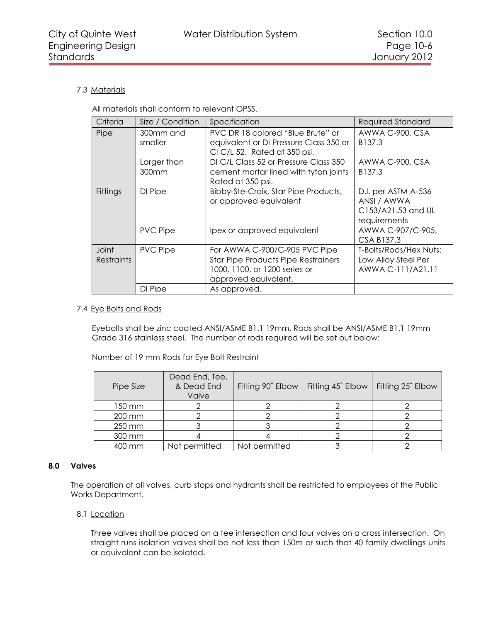# <span id="page-5-0"></span>7.3 Materials

All materials shall conform to relevant OPSS.

| Criteria                   | Size / Condition                 | Specification                                                                                                                        | <b>Required Standard</b>                                                 |
|----------------------------|----------------------------------|--------------------------------------------------------------------------------------------------------------------------------------|--------------------------------------------------------------------------|
| Pipe                       | 300mm and<br>smaller             | PVC DR 18 colored "Blue Brute" or<br>equivalent or DI Pressure Class 350 or<br>CIC/L 52. Rated at 350 psi.                           | AWWA C-900, CSA<br>B137.3                                                |
|                            | Larger than<br>300 <sub>mm</sub> | DI C/L Class 52 or Pressure Class 350<br>cement mortar lined with tyton joints<br>Rated at 350 psi.                                  | AWWA C-900, CSA<br>B137.3                                                |
| Fittings                   | DI Pipe                          | Bibby-Ste-Croix, Star Pipe Products,<br>or approved equivalent                                                                       | D.I. per ASTM A-536<br>ANSI / AWWA<br>C153/A21.53 and UL<br>requirements |
|                            | <b>PVC Pipe</b>                  | Ipex or approved equivalent                                                                                                          | AWWA C-907/C-905,<br>CSA B137.3                                          |
| Joint<br><b>Restraints</b> | <b>PVC Pipe</b>                  | For AWWA C-900/C-905 PVC Pipe<br><b>Star Pipe Products Pipe Restrainers</b><br>1000, 1100, or 1200 series or<br>approved equivalent. | T-Bolts/Rods/Hex Nuts:<br>Low Alloy Steel Per<br>AWWA C-111/A21.11       |
|                            | DI Pipe                          | As approved.                                                                                                                         |                                                                          |

# <span id="page-5-1"></span>7.4 Eye Bolts and Rods

Eyebolts shall be zinc coated ANSI/ASME B1.1 19mm. Rods shall be ANSI/ASME B1.1 19mm Grade 316 stainless steel. The number of rods required will be set out below:

Number of 19 mm Rods for Eye Bolt Restraint

| Pipe Size | Dead End, Tee,<br>& Dead End<br>Valve | Fitting 90° Elbow | Fitting 45° Elbow | Fitting 25° Elbow |
|-----------|---------------------------------------|-------------------|-------------------|-------------------|
| 150 mm    |                                       |                   |                   |                   |
| 200 mm    |                                       |                   |                   |                   |
| 250 mm    |                                       |                   |                   |                   |
| 300 mm    |                                       |                   |                   |                   |
| 400 mm    | Not permitted                         | Not permitted     |                   |                   |

## **8.0 Valves**

<span id="page-5-2"></span>The operation of all valves, curb stops and hydrants shall be restricted to employees of the Public Works Department.

<span id="page-5-3"></span>8.1 Location

Three valves shall be placed on a tee intersection and four valves on a cross intersection. On straight runs isolation valves shall be not less than 150m or such that 40 family dwellings units or equivalent can be isolated.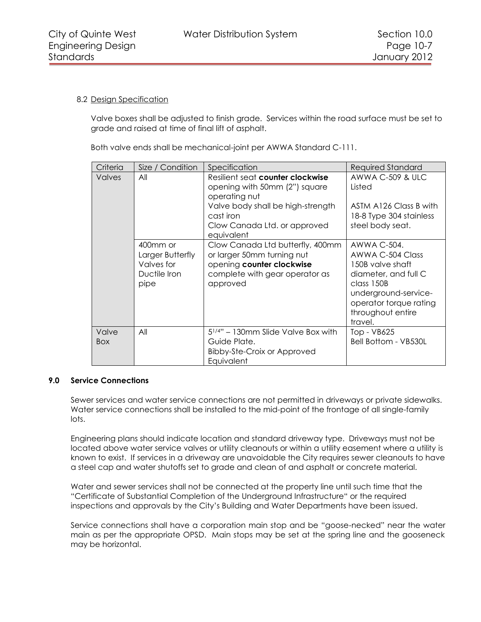# <span id="page-6-0"></span>8.2 Design Specification

Valve boxes shall be adjusted to finish grade. Services within the road surface must be set to grade and raised at time of final lift of asphalt.

Both valve ends shall be mechanical-joint per AWWA Standard C-111.

| Criteria            | Size / Condition                                                   | Specification                                                                                                                             | <b>Required Standard</b>                                                                                                                                                    |
|---------------------|--------------------------------------------------------------------|-------------------------------------------------------------------------------------------------------------------------------------------|-----------------------------------------------------------------------------------------------------------------------------------------------------------------------------|
| <b>Valves</b>       | All                                                                | Resilient seat counter clockwise<br>opening with 50mm (2") square<br>operating nut<br>Valve body shall be high-strength                   | <b>AWWA C-509 &amp; ULC</b><br>Listed<br>ASTM A126 Class B with                                                                                                             |
|                     |                                                                    | cast iron<br>Clow Canada Ltd. or approved<br>equivalent                                                                                   | 18-8 Type 304 stainless<br>steel body seat.                                                                                                                                 |
|                     | 400mm or<br>Larger Butterfly<br>Valves for<br>Ductile Iron<br>pipe | Clow Canada Ltd butterfly, 400mm<br>or larger 50mm turning nut<br>opening counter clockwise<br>complete with gear operator as<br>approved | AWWA C-504.<br>AWWA C-504 Class<br>150B valve shaft<br>diameter, and full C<br>class 150B<br>underground-service-<br>operator torque rating<br>throughout entire<br>travel. |
| Valve<br><b>Box</b> | All                                                                | $5^{1/4}$ " – 130mm Slide Valve Box with<br>Guide Plate.<br><b>Bibby-Ste-Croix or Approved</b><br>Equivalent                              | Top - VB625<br>Bell Bottom - VB530L                                                                                                                                         |

## <span id="page-6-1"></span>**9.0 Service Connections**

Sewer services and water service connections are not permitted in driveways or private sidewalks. Water service connections shall be installed to the mid-point of the frontage of all single-family lots.

Engineering plans should indicate location and standard driveway type. Driveways must not be located above water service valves or utility cleanouts or within a utility easement where a utility is known to exist. If services in a driveway are unavoidable the City requires sewer cleanouts to have a steel cap and water shutoffs set to grade and clean of and asphalt or concrete material.

Water and sewer services shall not be connected at the property line until such time that the "Certificate of Substantial Completion of the Underground Infrastructure" or the required inspections and approvals by the City's Building and Water Departments have been issued.

Service connections shall have a corporation main stop and be "goose-necked" near the water main as per the appropriate OPSD. Main stops may be set at the spring line and the gooseneck may be horizontal.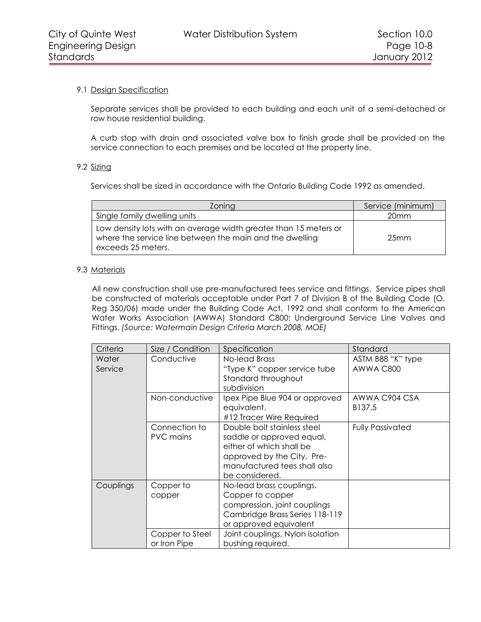# <span id="page-7-0"></span>9.1 Design Specification

Separate services shall be provided to each building and each unit of a semi-detached or row house residential building.

A curb stop with drain and associated valve box to finish grade shall be provided on the service connection to each premises and be located at the property line.

# <span id="page-7-1"></span>9.2 Sizing

Services shall be sized in accordance with the Ontario Building Code 1992 as amended.

| Zoning                                                                                                                                             | Service (minimum) |
|----------------------------------------------------------------------------------------------------------------------------------------------------|-------------------|
| Single family dwelling units                                                                                                                       | 20 <sub>mm</sub>  |
| Low density lots with an average width greater than 15 meters or<br>where the service line between the main and the dwelling<br>exceeds 25 meters. | 25 <sub>mm</sub>  |

# <span id="page-7-2"></span>9.3 Materials

All new construction shall use pre-manufactured tees service and fittings. Service pipes shall be constructed of materials acceptable under Part 7 of Division B of the Building Code (O. Reg 350/06) made under the Building Code Act, 1992 and shall conform to the American Water Works Association (AWWA) Standard C800: Underground Service Line Valves and Fittings. *(Source: Watermain Design Criteria March 2008, MOE)*

| Criteria         | Size / Condition                  | Specification                                                                                                                                                        | Standard                       |
|------------------|-----------------------------------|----------------------------------------------------------------------------------------------------------------------------------------------------------------------|--------------------------------|
| Water<br>Service | Conductive                        | No-lead Brass<br>"Type K" copper service tube<br>Standard throughout<br>subdivision                                                                                  | ASTM B88 "K" type<br>AWWA C800 |
|                  | Non-conductive                    | Ipex Pipe Blue 904 or approved<br>equivalent.<br>#12 Tracer Wire Required                                                                                            | AWWA C904 CSA<br>B137.5        |
|                  | Connection to<br><b>PVC</b> mains | Double bolt stainless steel<br>saddle or approved equal,<br>either of which shall be<br>approved by the City. Pre-<br>manufactured tees shall also<br>be considered. | <b>Fully Passivated</b>        |
| Couplings        | Copper to<br>copper               | No-lead brass couplings.<br>Copper to copper<br>compression, joint couplings<br>Cambridge Brass Series 118-119<br>or approved equivalent                             |                                |
|                  | Copper to Steel<br>or Iron Pipe   | Joint couplings. Nylon isolation<br>bushing required.                                                                                                                |                                |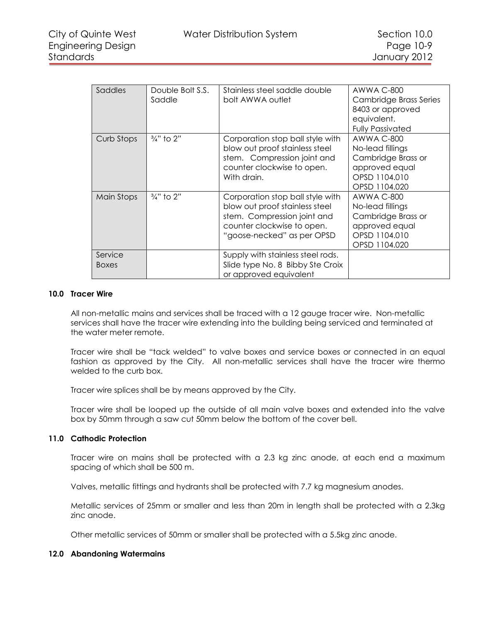| Saddles                 | Double Bolt S.S.<br>Saddle | Stainless steel saddle double<br>bolt AWWA outlet                                                                                                             | AWWA C-800<br>Cambridge Brass Series<br>8403 or approved<br>equivalent.<br><b>Fully Passivated</b>              |
|-------------------------|----------------------------|---------------------------------------------------------------------------------------------------------------------------------------------------------------|-----------------------------------------------------------------------------------------------------------------|
| Curb Stops              | 3/ <sub>4</sub> " to 2"    | Corporation stop ball style with<br>blow out proof stainless steel<br>stem. Compression joint and<br>counter clockwise to open.<br>With drain.                | <b>AWWA C-800</b><br>No-lead fillings<br>Cambridge Brass or<br>approved equal<br>OPSD 1104.010<br>OPSD 1104.020 |
| Main Stops              | $\frac{3}{4}$ " to 2"      | Corporation stop ball style with<br>blow out proof stainless steel<br>stem. Compression joint and<br>counter clockwise to open.<br>"goose-necked" as per OPSD | <b>AWWA C-800</b><br>No-lead fillings<br>Cambridge Brass or<br>approved equal<br>OPSD 1104.010<br>OPSD 1104.020 |
| Service<br><b>Boxes</b> |                            | Supply with stainless steel rods.<br>Slide type No. 8 Bibby Ste Croix<br>or approved equivalent                                                               |                                                                                                                 |

# **10.0 Tracer Wire**

<span id="page-8-0"></span>All non-metallic mains and services shall be traced with a 12 gauge tracer wire. Non-metallic services shall have the tracer wire extending into the building being serviced and terminated at the water meter remote.

Tracer wire shall be "tack welded" to valve boxes and service boxes or connected in an equal fashion as approved by the City. All non-metallic services shall have the tracer wire thermo welded to the curb box.

Tracer wire splices shall be by means approved by the City.

Tracer wire shall be looped up the outside of all main valve boxes and extended into the valve box by 50mm through a saw cut 50mm below the bottom of the cover bell.

## **11.0 Cathodic Protection**

<span id="page-8-1"></span>Tracer wire on mains shall be protected with a 2.3 kg zinc anode, at each end a maximum spacing of which shall be 500 m.

Valves, metallic fittings and hydrants shall be protected with 7.7 kg magnesium anodes.

Metallic services of 25mm or smaller and less than 20m in length shall be protected with a 2.3kg zinc anode.

<span id="page-8-2"></span>Other metallic services of 50mm or smaller shall be protected with a 5.5kg zinc anode.

## **12.0 Abandoning Watermains**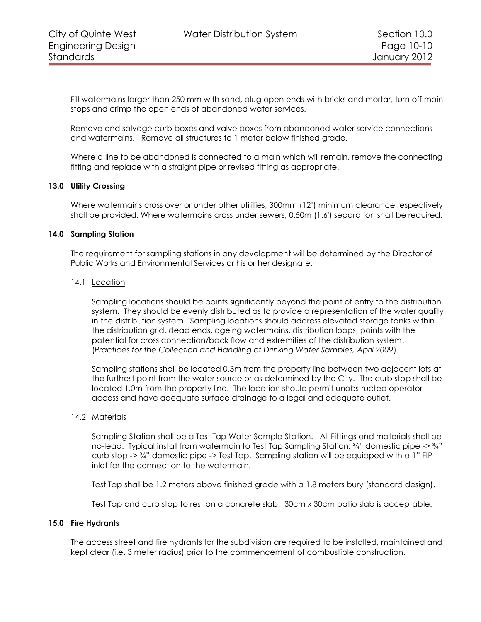Fill watermains larger than 250 mm with sand, plug open ends with bricks and mortar, turn off main stops and crimp the open ends of abandoned water services.

Remove and salvage curb boxes and valve boxes from abandoned water service connections and watermains. Remove all structures to 1 meter below finished grade.

Where a line to be abandoned is connected to a main which will remain, remove the connecting fitting and replace with a straight pipe or revised fitting as appropriate.

#### **13.0 Utility Crossing**

<span id="page-9-0"></span>Where watermains cross over or under other utilities, 300mm (12") minimum clearance respectively shall be provided. Where watermains cross under sewers, 0.50m (1.6') separation shall be required.

#### **14.0 Sampling Station**

<span id="page-9-1"></span>The requirement for sampling stations in any development will be determined by the Director of Public Works and Environmental Services or his or her designate.

#### <span id="page-9-2"></span>14.1 Location

Sampling locations should be points significantly beyond the point of entry to the distribution system. They should be evenly distributed as to provide a representation of the water quality in the distribution system. Sampling locations should address elevated storage tanks within the distribution grid, dead ends, ageing watermains, distribution loops, points with the potential for cross connection/back flow and extremities of the distribution system. (*Practices for the Collection and Handling of Drinking Water Samples, April 2009*).

Sampling stations shall be located 0.3m from the property line between two adjacent lots at the furthest point from the water source or as determined by the City. The curb stop shall be located 1.0m from the property line. The location should permit unobstructed operator access and have adequate surface drainage to a legal and adequate outlet.

#### <span id="page-9-3"></span>14.2 Materials

Sampling Station shall be a Test Tap Water Sample Station. All Fittings and materials shall be no-lead. Typical install from watermain to Test Tap Sampling Station: 34" domestic pipe -> 34" curb stop -> ¾" domestic pipe -> Test Tap. Sampling station will be equipped with a 1" FIP inlet for the connection to the watermain.

Test Tap shall be 1.2 meters above finished grade with a 1.8 meters bury (standard design).

Test Tap and curb stop to rest on a concrete slab. 30cm x 30cm patio slab is acceptable.

#### <span id="page-9-4"></span>**15.0 Fire Hydrants**

The access street and fire hydrants for the subdivision are required to be installed, maintained and kept clear (i.e. 3 meter radius) prior to the commencement of combustible construction.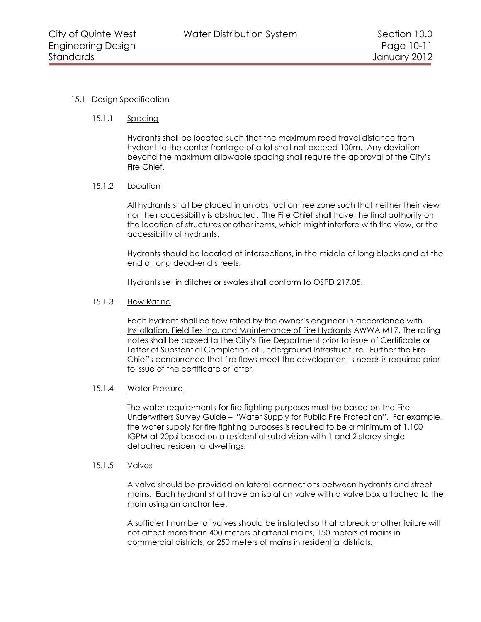# <span id="page-10-1"></span><span id="page-10-0"></span>15.1 Design Specification

## 15.1.1 Spacing

Hydrants shall be located such that the maximum road travel distance from hydrant to the center frontage of a lot shall not exceed 100m. Any deviation beyond the maximum allowable spacing shall require the approval of the City's Fire Chief.

# <span id="page-10-2"></span>15.1.2 Location

All hydrants shall be placed in an obstruction free zone such that neither their view nor their accessibility is obstructed. The Fire Chief shall have the final authority on the location of structures or other items, which might interfere with the view, or the accessibility of hydrants.

Hydrants should be located at intersections, in the middle of long blocks and at the end of long dead-end streets.

Hydrants set in ditches or swales shall conform to OSPD 217.05.

## <span id="page-10-3"></span>15.1.3 Flow Rating

Each hydrant shall be flow rated by the owner's engineer in accordance with Installation, Field Testing, and Maintenance of Fire Hydrants AWWA M17. The rating notes shall be passed to the City's Fire Department prior to issue of Certificate or Letter of Substantial Completion of Underground Infrastructure. Further the Fire Chief's concurrence that fire flows meet the development's needs is required prior to issue of the certificate or letter.

#### <span id="page-10-4"></span>15.1.4 Water Pressure

The water requirements for fire fighting purposes must be based on the Fire Underwriters Survey Guide – "Water Supply for Public Fire Protection". For example, the water supply for fire fighting purposes is required to be a minimum of 1,100 IGPM at 20psi based on a residential subdivision with 1 and 2 storey single detached residential dwellings.

#### <span id="page-10-5"></span>15.1.5 Valves

A valve should be provided on lateral connections between hydrants and street mains. Each hydrant shall have an isolation valve with a valve box attached to the main using an anchor tee.

A sufficient number of valves should be installed so that a break or other failure will not affect more than 400 meters of arterial mains, 150 meters of mains in commercial districts, or 250 meters of mains in residential districts.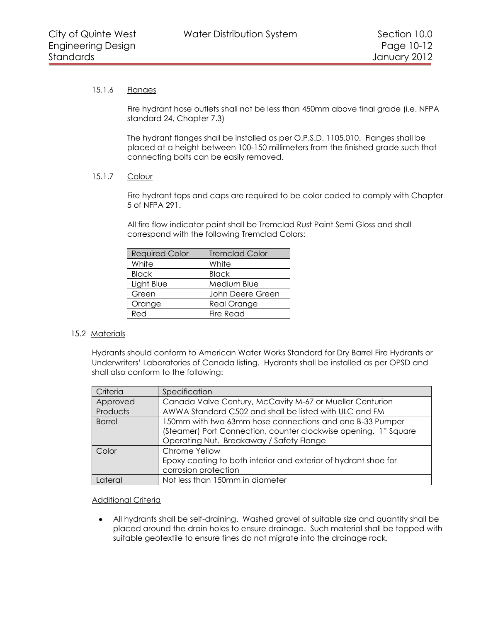## <span id="page-11-0"></span>15.1.6 Flanges

Fire hydrant hose outlets shall not be less than 450mm above final grade (i.e. NFPA standard 24, Chapter 7.3)

The hydrant flanges shall be installed as per O.P.S.D. 1105.010. Flanges shall be placed at a height between 100-150 millimeters from the finished grade such that connecting bolts can be easily removed.

# <span id="page-11-1"></span>15.1.7 Colour

Fire hydrant tops and caps are required to be color coded to comply with Chapter 5 of NFPA 291.

All fire flow indicator paint shall be Tremclad Rust Paint Semi Gloss and shall correspond with the following Tremclad Colors:

| <b>Required Color</b> | <b>Tremclad Color</b> |
|-----------------------|-----------------------|
| White                 | White                 |
| <b>Black</b>          | <b>Black</b>          |
| Light Blue            | Medium Blue           |
| Green                 | John Deere Green      |
| Orange                | <b>Real Orange</b>    |
| Red                   | <b>Fire Read</b>      |

## <span id="page-11-2"></span>15.2 Materials

Hydrants should conform to American Water Works Standard for Dry Barrel Fire Hydrants or Underwriters' Laboratories of Canada listing. Hydrants shall be installed as per OPSD and shall also conform to the following:

| Criteria      | Specification                                                                                                                                                           |
|---------------|-------------------------------------------------------------------------------------------------------------------------------------------------------------------------|
| Approved      | Canada Valve Century, McCavity M-67 or Mueller Centurion                                                                                                                |
| Products      | AWWA Standard C502 and shall be listed with ULC and FM                                                                                                                  |
| <b>Barrel</b> | 150mm with two 63mm hose connections and one B-33 Pumper<br>(Steamer) Port Connection, counter clockwise opening. 1" Square<br>Operating Nut. Breakaway / Safety Flange |
| Color         | Chrome Yellow<br>Epoxy coating to both interior and exterior of hydrant shoe for<br>corrosion protection                                                                |
| Lateral       | Not less than 150mm in diameter                                                                                                                                         |

## Additional Criteria

All hydrants shall be self-draining. Washed gravel of suitable size and quantity shall be  $\bullet$ placed around the drain holes to ensure drainage. Such material shall be topped with suitable geotextile to ensure fines do not migrate into the drainage rock.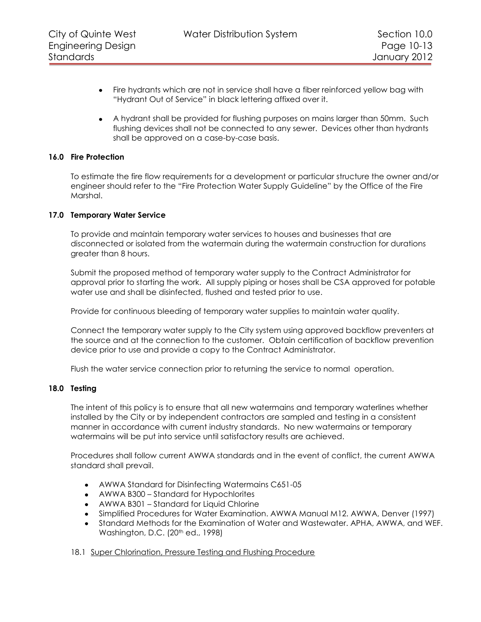- $\bullet$ Fire hydrants which are not in service shall have a fiber reinforced yellow bag with "Hydrant Out of Service" in black lettering affixed over it.
- A hydrant shall be provided for flushing purposes on mains larger than 50mm. Such flushing devices shall not be connected to any sewer. Devices other than hydrants shall be approved on a case-by-case basis.

## **16.0 Fire Protection**

<span id="page-12-0"></span>To estimate the fire flow requirements for a development or particular structure the owner and/or engineer should refer to the "Fire Protection Water Supply Guideline" by the Office of the Fire Marshal.

## **17.0 Temporary Water Service**

<span id="page-12-1"></span>To provide and maintain temporary water services to houses and businesses that are disconnected or isolated from the watermain during the watermain construction for durations greater than 8 hours.

Submit the proposed method of temporary water supply to the Contract Administrator for approval prior to starting the work. All supply piping or hoses shall be CSA approved for potable water use and shall be disinfected, flushed and tested prior to use.

Provide for continuous bleeding of temporary water supplies to maintain water quality.

Connect the temporary water supply to the City system using approved backflow preventers at the source and at the connection to the customer. Obtain certification of backflow prevention device prior to use and provide a copy to the Contract Administrator.

<span id="page-12-2"></span>Flush the water service connection prior to returning the service to normal operation.

## **18.0 Testing**

The intent of this policy is to ensure that all new watermains and temporary waterlines whether installed by the City or by independent contractors are sampled and testing in a consistent manner in accordance with current industry standards. No new watermains or temporary watermains will be put into service until satisfactory results are achieved.

Procedures shall follow current AWWA standards and in the event of conflict, the current AWWA standard shall prevail.

- AWWA Standard for Disinfecting Watermains C651-05
- AWWA B300 Standard for Hypochlorites
- AWWA B301 Standard for Liquid Chlorine
- Simplified Procedures for Water Examination. AWWA Manual M12. AWWA, Denver (1997)
- Standard Methods for the Examination of Water and Wastewater. APHA, AWWA, and WEF.  $\bullet$ Washington, D.C. (20<sup>th</sup> ed., 1998)

<span id="page-12-3"></span>18.1 Super Chlorination, Pressure Testing and Flushing Procedure